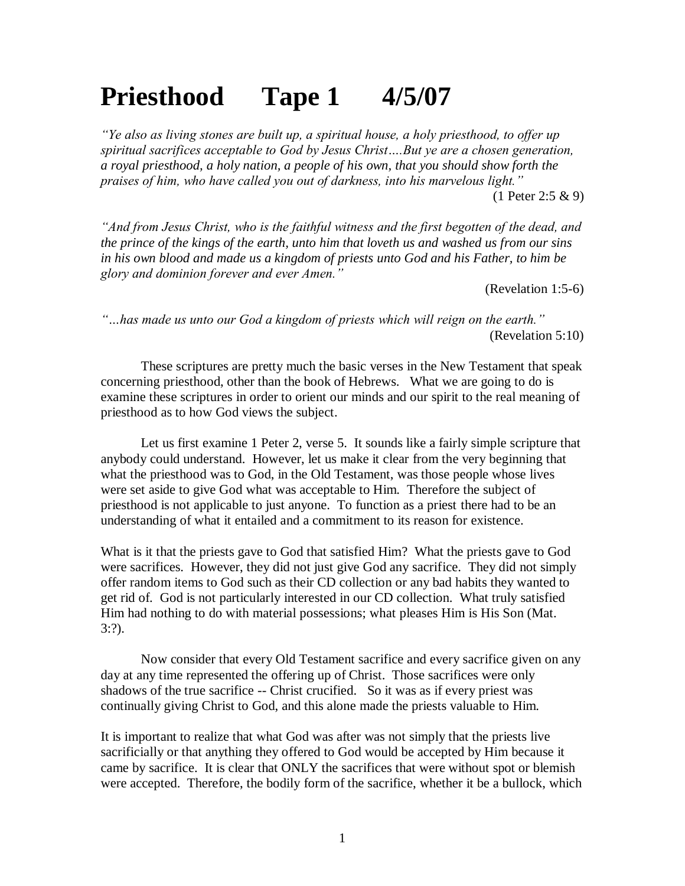## **Priesthood Tape 1 4/5/07**

*"Ye also as living stones are built up, a spiritual house, a holy priesthood, to offer up spiritual sacrifices acceptable to God by Jesus Christ….But ye are a chosen generation, a royal priesthood, a holy nation, a people of his own, that you should show forth the praises of him, who have called you out of darkness, into his marvelous light."* (1 Peter 2:5 & 9)

*"And from Jesus Christ, who is the faithful witness and the first begotten of the dead, and the prince of the kings of the earth, unto him that loveth us and washed us from our sins in his own blood and made us a kingdom of priests unto God and his Father, to him be glory and dominion forever and ever Amen."*

(Revelation 1:5-6)

*"…has made us unto our God a kingdom of priests which will reign on the earth."* (Revelation 5:10)

These scriptures are pretty much the basic verses in the New Testament that speak concerning priesthood, other than the book of Hebrews. What we are going to do is examine these scriptures in order to orient our minds and our spirit to the real meaning of priesthood as to how God views the subject.

Let us first examine 1 Peter 2, verse 5. It sounds like a fairly simple scripture that anybody could understand. However, let us make it clear from the very beginning that what the priesthood was to God, in the Old Testament, was those people whose lives were set aside to give God what was acceptable to Him. Therefore the subject of priesthood is not applicable to just anyone. To function as a priest there had to be an understanding of what it entailed and a commitment to its reason for existence.

What is it that the priests gave to God that satisfied Him? What the priests gave to God were sacrifices. However, they did not just give God any sacrifice. They did not simply offer random items to God such as their CD collection or any bad habits they wanted to get rid of. God is not particularly interested in our CD collection. What truly satisfied Him had nothing to do with material possessions; what pleases Him is His Son (Mat. 3:?).

Now consider that every Old Testament sacrifice and every sacrifice given on any day at any time represented the offering up of Christ. Those sacrifices were only shadows of the true sacrifice -- Christ crucified. So it was as if every priest was continually giving Christ to God, and this alone made the priests valuable to Him.

It is important to realize that what God was after was not simply that the priests live sacrificially or that anything they offered to God would be accepted by Him because it came by sacrifice. It is clear that ONLY the sacrifices that were without spot or blemish were accepted. Therefore, the bodily form of the sacrifice, whether it be a bullock, which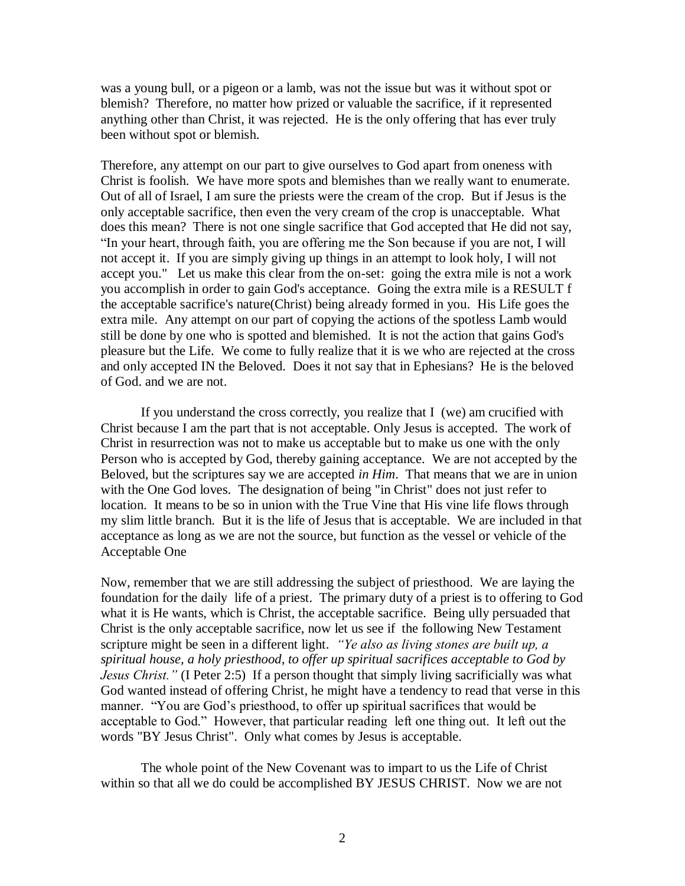was a young bull, or a pigeon or a lamb, was not the issue but was it without spot or blemish? Therefore, no matter how prized or valuable the sacrifice, if it represented anything other than Christ, it was rejected. He is the only offering that has ever truly been without spot or blemish.

Therefore, any attempt on our part to give ourselves to God apart from oneness with Christ is foolish. We have more spots and blemishes than we really want to enumerate. Out of all of Israel, I am sure the priests were the cream of the crop. But if Jesus is the only acceptable sacrifice, then even the very cream of the crop is unacceptable. What does this mean? There is not one single sacrifice that God accepted that He did not say, "In your heart, through faith, you are offering me the Son because if you are not, I will not accept it. If you are simply giving up things in an attempt to look holy, I will not accept you." Let us make this clear from the on-set: going the extra mile is not a work you accomplish in order to gain God's acceptance. Going the extra mile is a RESULT f the acceptable sacrifice's nature(Christ) being already formed in you. His Life goes the extra mile. Any attempt on our part of copying the actions of the spotless Lamb would still be done by one who is spotted and blemished. It is not the action that gains God's pleasure but the Life. We come to fully realize that it is we who are rejected at the cross and only accepted IN the Beloved. Does it not say that in Ephesians? He is the beloved of God. and we are not.

If you understand the cross correctly, you realize that I (we) am crucified with Christ because I am the part that is not acceptable. Only Jesus is accepted. The work of Christ in resurrection was not to make us acceptable but to make us one with the only Person who is accepted by God, thereby gaining acceptance. We are not accepted by the Beloved, but the scriptures say we are accepted *in Him*. That means that we are in union with the One God loves. The designation of being "in Christ" does not just refer to location. It means to be so in union with the True Vine that His vine life flows through my slim little branch. But it is the life of Jesus that is acceptable. We are included in that acceptance as long as we are not the source, but function as the vessel or vehicle of the Acceptable One

Now, remember that we are still addressing the subject of priesthood. We are laying the foundation for the daily life of a priest. The primary duty of a priest is to offering to God what it is He wants, which is Christ, the acceptable sacrifice. Being ully persuaded that Christ is the only acceptable sacrifice, now let us see if the following New Testament scripture might be seen in a different light. *"Ye also as living stones are built up, a spiritual house, a holy priesthood, to offer up spiritual sacrifices acceptable to God by Jesus Christ."* (I Peter 2:5) If a person thought that simply living sacrificially was what God wanted instead of offering Christ, he might have a tendency to read that verse in this manner. "You are God's priesthood, to offer up spiritual sacrifices that would be acceptable to God." However, that particular reading left one thing out. It left out the words "BY Jesus Christ". Only what comes by Jesus is acceptable.

The whole point of the New Covenant was to impart to us the Life of Christ within so that all we do could be accomplished BY JESUS CHRIST. Now we are not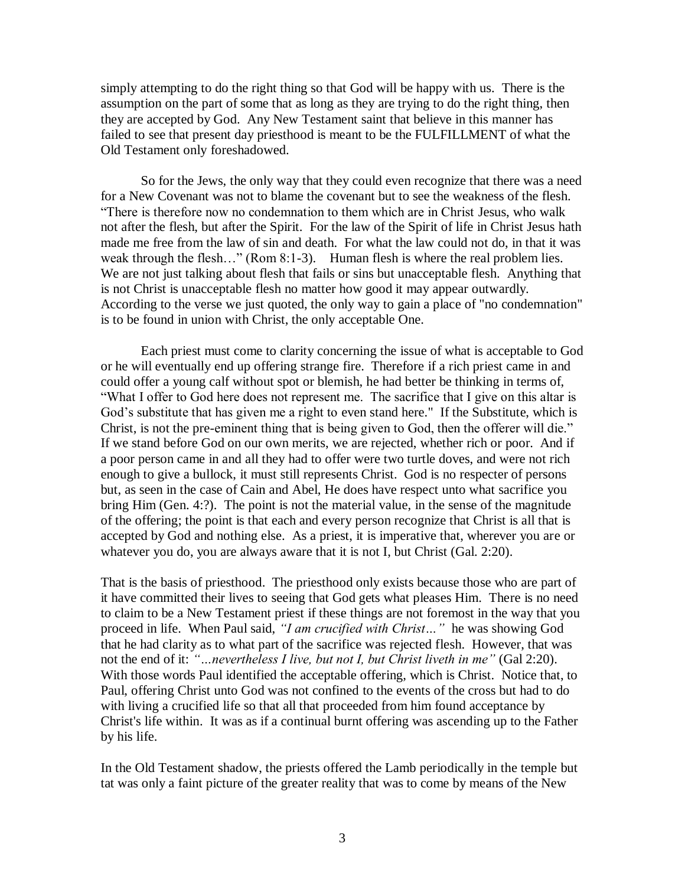simply attempting to do the right thing so that God will be happy with us. There is the assumption on the part of some that as long as they are trying to do the right thing, then they are accepted by God. Any New Testament saint that believe in this manner has failed to see that present day priesthood is meant to be the FULFILLMENT of what the Old Testament only foreshadowed.

So for the Jews, the only way that they could even recognize that there was a need for a New Covenant was not to blame the covenant but to see the weakness of the flesh. "There is therefore now no condemnation to them which are in Christ Jesus, who walk not after the flesh, but after the Spirit. For the law of the Spirit of life in Christ Jesus hath made me free from the law of sin and death. For what the law could not do, in that it was weak through the flesh..." (Rom 8:1-3). Human flesh is where the real problem lies. We are not just talking about flesh that fails or sins but unacceptable flesh. Anything that is not Christ is unacceptable flesh no matter how good it may appear outwardly. According to the verse we just quoted, the only way to gain a place of "no condemnation" is to be found in union with Christ, the only acceptable One.

Each priest must come to clarity concerning the issue of what is acceptable to God or he will eventually end up offering strange fire. Therefore if a rich priest came in and could offer a young calf without spot or blemish, he had better be thinking in terms of, "What I offer to God here does not represent me. The sacrifice that I give on this altar is God's substitute that has given me a right to even stand here." If the Substitute, which is Christ, is not the pre-eminent thing that is being given to God, then the offerer will die." If we stand before God on our own merits, we are rejected, whether rich or poor. And if a poor person came in and all they had to offer were two turtle doves, and were not rich enough to give a bullock, it must still represents Christ. God is no respecter of persons but, as seen in the case of Cain and Abel, He does have respect unto what sacrifice you bring Him (Gen. 4:?). The point is not the material value, in the sense of the magnitude of the offering; the point is that each and every person recognize that Christ is all that is accepted by God and nothing else. As a priest, it is imperative that, wherever you are or whatever you do, you are always aware that it is not I, but Christ (Gal. 2:20).

That is the basis of priesthood. The priesthood only exists because those who are part of it have committed their lives to seeing that God gets what pleases Him. There is no need to claim to be a New Testament priest if these things are not foremost in the way that you proceed in life. When Paul said, *"I am crucified with Christ…"* he was showing God that he had clarity as to what part of the sacrifice was rejected flesh. However, that was not the end of it: *"…nevertheless I live, but not I, but Christ liveth in me"* (Gal 2:20). With those words Paul identified the acceptable offering, which is Christ. Notice that, to Paul, offering Christ unto God was not confined to the events of the cross but had to do with living a crucified life so that all that proceeded from him found acceptance by Christ's life within. It was as if a continual burnt offering was ascending up to the Father by his life.

In the Old Testament shadow, the priests offered the Lamb periodically in the temple but tat was only a faint picture of the greater reality that was to come by means of the New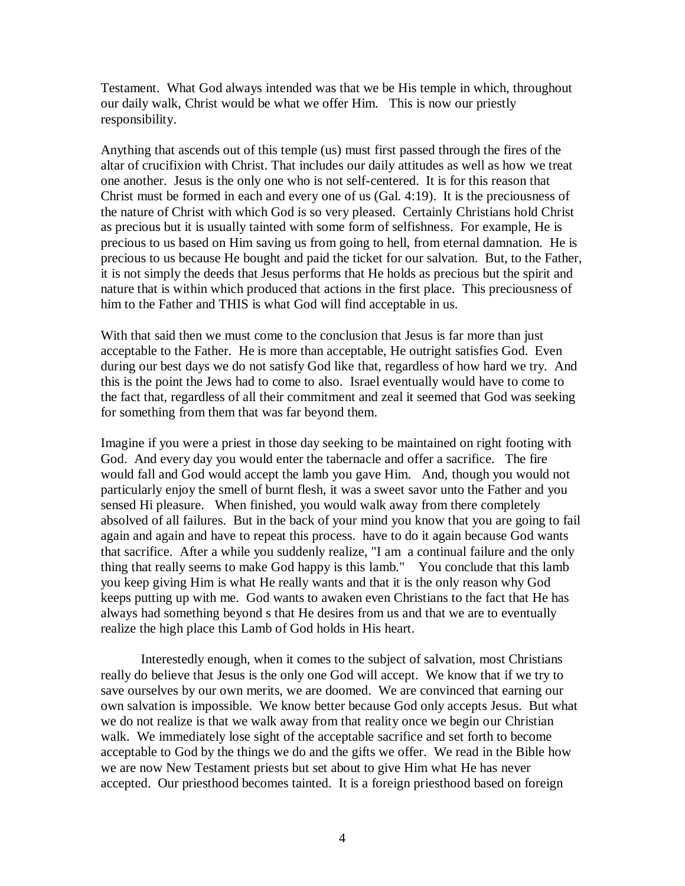Testament. What God always intended was that we be His temple in which, throughout our daily walk, Christ would be what we offer Him. This is now our priestly responsibility.

Anything that ascends out of this temple (us) must first passed through the fires of the altar of crucifixion with Christ. That includes our daily attitudes as well as how we treat one another. Jesus is the only one who is not self-centered. It is for this reason that Christ must be formed in each and every one of us (Gal. 4:19). It is the preciousness of the nature of Christ with which God is so very pleased. Certainly Christians hold Christ as precious but it is usually tainted with some form of selfishness. For example, He is precious to us based on Him saving us from going to hell, from eternal damnation. He is precious to us because He bought and paid the ticket for our salvation. But, to the Father, it is not simply the deeds that Jesus performs that He holds as precious but the spirit and nature that is within which produced that actions in the first place. This preciousness of him to the Father and THIS is what God will find acceptable in us.

With that said then we must come to the conclusion that Jesus is far more than just acceptable to the Father. He is more than acceptable, He outright satisfies God. Even during our best days we do not satisfy God like that, regardless of how hard we try. And this is the point the Jews had to come to also. Israel eventually would have to come to the fact that, regardless of all their commitment and zeal it seemed that God was seeking for something from them that was far beyond them.

Imagine if you were a priest in those day seeking to be maintained on right footing with God. And every day you would enter the tabernacle and offer a sacrifice. The fire would fall and God would accept the lamb you gave Him. And, though you would not particularly enjoy the smell of burnt flesh, it was a sweet savor unto the Father and you sensed Hi pleasure. When finished, you would walk away from there completely absolved of all failures. But in the back of your mind you know that you are going to fail again and again and have to repeat this process. have to do it again because God wants that sacrifice. After a while you suddenly realize, "I am a continual failure and the only thing that really seems to make God happy is this lamb." You conclude that this lamb you keep giving Him is what He really wants and that it is the only reason why God keeps putting up with me. God wants to awaken even Christians to the fact that He has always had something beyond s that He desires from us and that we are to eventually realize the high place this Lamb of God holds in His heart.

Interestedly enough, when it comes to the subject of salvation, most Christians really do believe that Jesus is the only one God will accept. We know that if we try to save ourselves by our own merits, we are doomed. We are convinced that earning our own salvation is impossible. We know better because God only accepts Jesus. But what we do not realize is that we walk away from that reality once we begin our Christian walk. We immediately lose sight of the acceptable sacrifice and set forth to become acceptable to God by the things we do and the gifts we offer. We read in the Bible how we are now New Testament priests but set about to give Him what He has never accepted. Our priesthood becomes tainted. It is a foreign priesthood based on foreign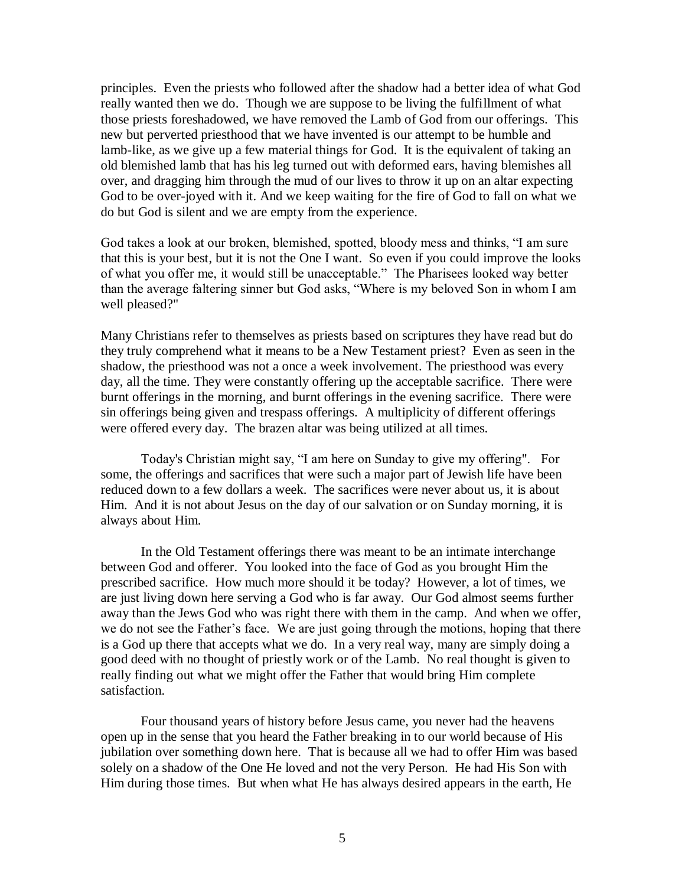principles. Even the priests who followed after the shadow had a better idea of what God really wanted then we do. Though we are suppose to be living the fulfillment of what those priests foreshadowed, we have removed the Lamb of God from our offerings. This new but perverted priesthood that we have invented is our attempt to be humble and lamb-like, as we give up a few material things for God. It is the equivalent of taking an old blemished lamb that has his leg turned out with deformed ears, having blemishes all over, and dragging him through the mud of our lives to throw it up on an altar expecting God to be over-joyed with it. And we keep waiting for the fire of God to fall on what we do but God is silent and we are empty from the experience.

God takes a look at our broken, blemished, spotted, bloody mess and thinks, "I am sure that this is your best, but it is not the One I want. So even if you could improve the looks of what you offer me, it would still be unacceptable." The Pharisees looked way better than the average faltering sinner but God asks, "Where is my beloved Son in whom I am well pleased?"

Many Christians refer to themselves as priests based on scriptures they have read but do they truly comprehend what it means to be a New Testament priest? Even as seen in the shadow, the priesthood was not a once a week involvement. The priesthood was every day, all the time. They were constantly offering up the acceptable sacrifice. There were burnt offerings in the morning, and burnt offerings in the evening sacrifice. There were sin offerings being given and trespass offerings. A multiplicity of different offerings were offered every day. The brazen altar was being utilized at all times.

Today's Christian might say, "I am here on Sunday to give my offering". For some, the offerings and sacrifices that were such a major part of Jewish life have been reduced down to a few dollars a week. The sacrifices were never about us, it is about Him. And it is not about Jesus on the day of our salvation or on Sunday morning, it is always about Him.

In the Old Testament offerings there was meant to be an intimate interchange between God and offerer. You looked into the face of God as you brought Him the prescribed sacrifice. How much more should it be today? However, a lot of times, we are just living down here serving a God who is far away. Our God almost seems further away than the Jews God who was right there with them in the camp. And when we offer, we do not see the Father's face. We are just going through the motions, hoping that there is a God up there that accepts what we do. In a very real way, many are simply doing a good deed with no thought of priestly work or of the Lamb. No real thought is given to really finding out what we might offer the Father that would bring Him complete satisfaction.

Four thousand years of history before Jesus came, you never had the heavens open up in the sense that you heard the Father breaking in to our world because of His jubilation over something down here. That is because all we had to offer Him was based solely on a shadow of the One He loved and not the very Person. He had His Son with Him during those times. But when what He has always desired appears in the earth, He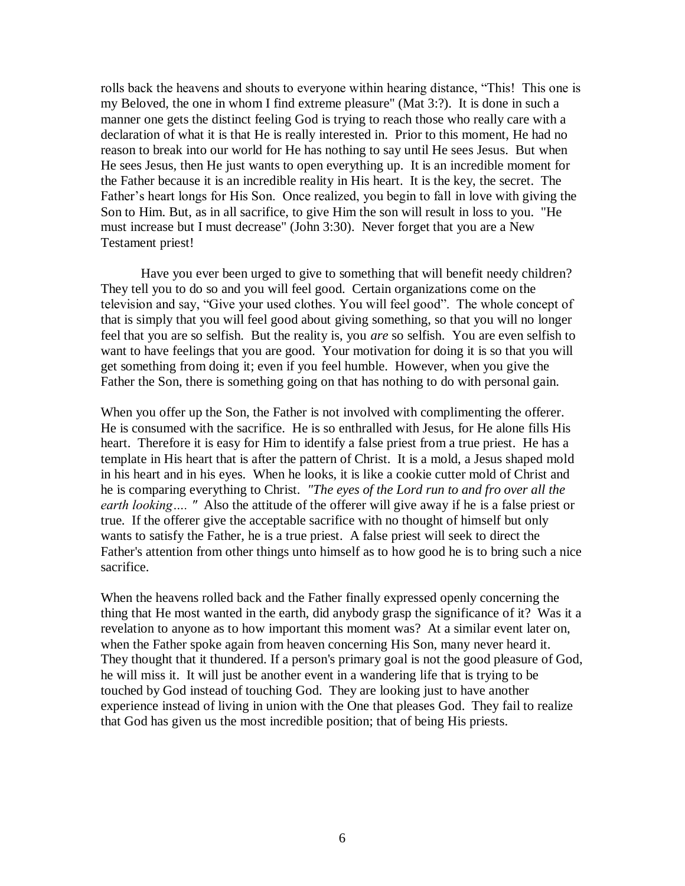rolls back the heavens and shouts to everyone within hearing distance, "This! This one is my Beloved, the one in whom I find extreme pleasure" (Mat 3:?). It is done in such a manner one gets the distinct feeling God is trying to reach those who really care with a declaration of what it is that He is really interested in. Prior to this moment, He had no reason to break into our world for He has nothing to say until He sees Jesus. But when He sees Jesus, then He just wants to open everything up. It is an incredible moment for the Father because it is an incredible reality in His heart. It is the key, the secret. The Father's heart longs for His Son. Once realized, you begin to fall in love with giving the Son to Him. But, as in all sacrifice, to give Him the son will result in loss to you. "He must increase but I must decrease" (John 3:30). Never forget that you are a New Testament priest!

Have you ever been urged to give to something that will benefit needy children? They tell you to do so and you will feel good. Certain organizations come on the television and say, "Give your used clothes. You will feel good". The whole concept of that is simply that you will feel good about giving something, so that you will no longer feel that you are so selfish. But the reality is, you *are* so selfish. You are even selfish to want to have feelings that you are good. Your motivation for doing it is so that you will get something from doing it; even if you feel humble. However, when you give the Father the Son, there is something going on that has nothing to do with personal gain.

When you offer up the Son, the Father is not involved with complimenting the offerer. He is consumed with the sacrifice. He is so enthralled with Jesus, for He alone fills His heart. Therefore it is easy for Him to identify a false priest from a true priest. He has a template in His heart that is after the pattern of Christ. It is a mold, a Jesus shaped mold in his heart and in his eyes. When he looks, it is like a cookie cutter mold of Christ and he is comparing everything to Christ. *"The eyes of the Lord run to and fro over all the earth looking…. "* Also the attitude of the offerer will give away if he is a false priest or true. If the offerer give the acceptable sacrifice with no thought of himself but only wants to satisfy the Father, he is a true priest. A false priest will seek to direct the Father's attention from other things unto himself as to how good he is to bring such a nice sacrifice.

When the heavens rolled back and the Father finally expressed openly concerning the thing that He most wanted in the earth, did anybody grasp the significance of it? Was it a revelation to anyone as to how important this moment was? At a similar event later on, when the Father spoke again from heaven concerning His Son, many never heard it. They thought that it thundered. If a person's primary goal is not the good pleasure of God, he will miss it. It will just be another event in a wandering life that is trying to be touched by God instead of touching God. They are looking just to have another experience instead of living in union with the One that pleases God. They fail to realize that God has given us the most incredible position; that of being His priests.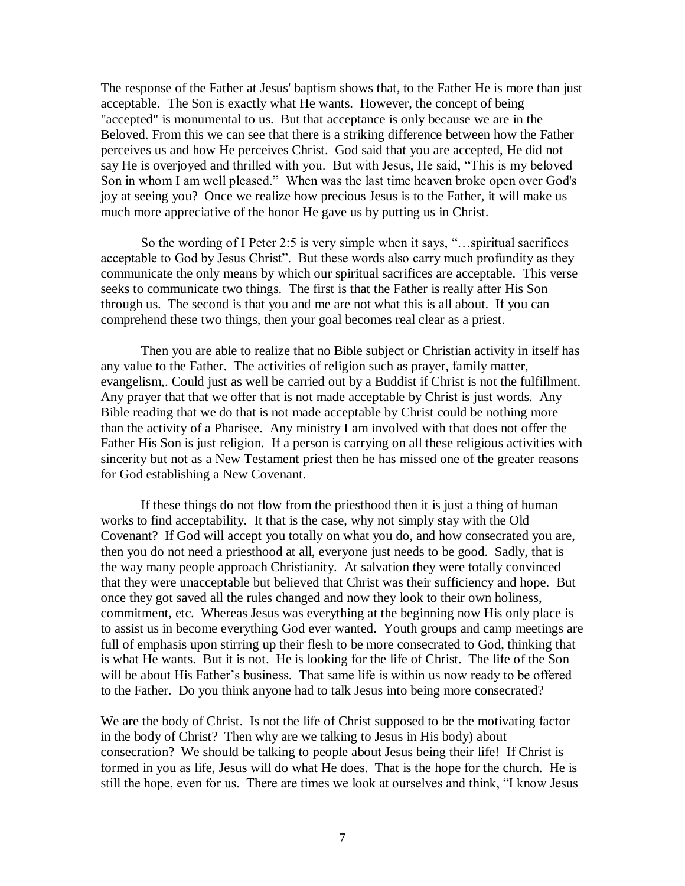The response of the Father at Jesus' baptism shows that, to the Father He is more than just acceptable. The Son is exactly what He wants. However, the concept of being "accepted" is monumental to us. But that acceptance is only because we are in the Beloved. From this we can see that there is a striking difference between how the Father perceives us and how He perceives Christ. God said that you are accepted, He did not say He is overjoyed and thrilled with you. But with Jesus, He said, "This is my beloved Son in whom I am well pleased." When was the last time heaven broke open over God's joy at seeing you? Once we realize how precious Jesus is to the Father, it will make us much more appreciative of the honor He gave us by putting us in Christ.

So the wording of I Peter 2:5 is very simple when it says, "…spiritual sacrifices acceptable to God by Jesus Christ". But these words also carry much profundity as they communicate the only means by which our spiritual sacrifices are acceptable. This verse seeks to communicate two things. The first is that the Father is really after His Son through us. The second is that you and me are not what this is all about. If you can comprehend these two things, then your goal becomes real clear as a priest.

Then you are able to realize that no Bible subject or Christian activity in itself has any value to the Father. The activities of religion such as prayer, family matter, evangelism,. Could just as well be carried out by a Buddist if Christ is not the fulfillment. Any prayer that that we offer that is not made acceptable by Christ is just words. Any Bible reading that we do that is not made acceptable by Christ could be nothing more than the activity of a Pharisee. Any ministry I am involved with that does not offer the Father His Son is just religion. If a person is carrying on all these religious activities with sincerity but not as a New Testament priest then he has missed one of the greater reasons for God establishing a New Covenant.

If these things do not flow from the priesthood then it is just a thing of human works to find acceptability. It that is the case, why not simply stay with the Old Covenant? If God will accept you totally on what you do, and how consecrated you are, then you do not need a priesthood at all, everyone just needs to be good. Sadly, that is the way many people approach Christianity. At salvation they were totally convinced that they were unacceptable but believed that Christ was their sufficiency and hope. But once they got saved all the rules changed and now they look to their own holiness, commitment, etc. Whereas Jesus was everything at the beginning now His only place is to assist us in become everything God ever wanted. Youth groups and camp meetings are full of emphasis upon stirring up their flesh to be more consecrated to God, thinking that is what He wants. But it is not. He is looking for the life of Christ. The life of the Son will be about His Father's business. That same life is within us now ready to be offered to the Father. Do you think anyone had to talk Jesus into being more consecrated?

We are the body of Christ. Is not the life of Christ supposed to be the motivating factor in the body of Christ? Then why are we talking to Jesus in His body) about consecration? We should be talking to people about Jesus being their life! If Christ is formed in you as life, Jesus will do what He does. That is the hope for the church. He is still the hope, even for us. There are times we look at ourselves and think, "I know Jesus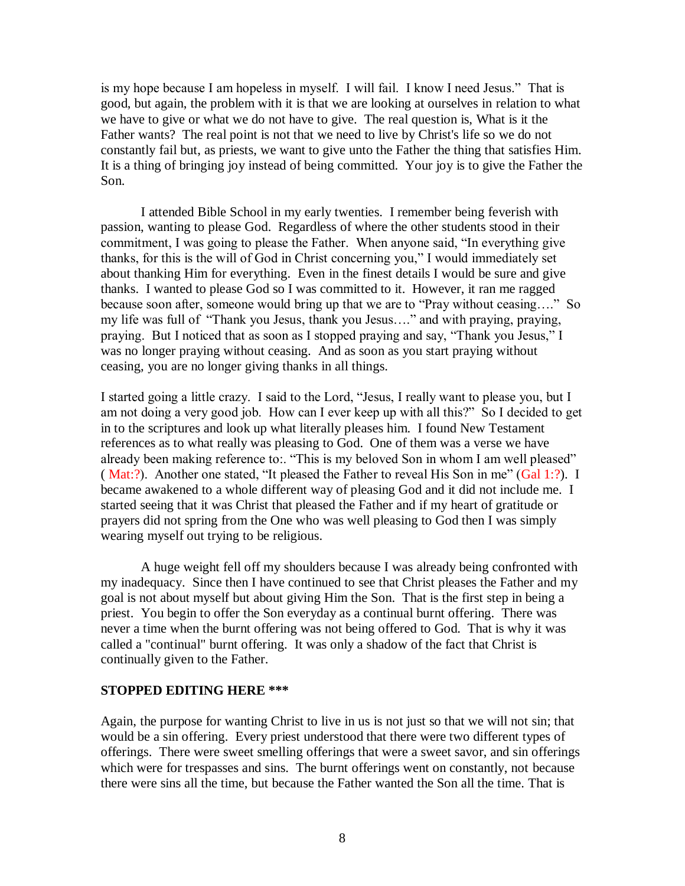is my hope because I am hopeless in myself. I will fail. I know I need Jesus." That is good, but again, the problem with it is that we are looking at ourselves in relation to what we have to give or what we do not have to give. The real question is, What is it the Father wants? The real point is not that we need to live by Christ's life so we do not constantly fail but, as priests, we want to give unto the Father the thing that satisfies Him. It is a thing of bringing joy instead of being committed. Your joy is to give the Father the Son.

I attended Bible School in my early twenties. I remember being feverish with passion, wanting to please God. Regardless of where the other students stood in their commitment, I was going to please the Father. When anyone said, "In everything give thanks, for this is the will of God in Christ concerning you," I would immediately set about thanking Him for everything. Even in the finest details I would be sure and give thanks. I wanted to please God so I was committed to it. However, it ran me ragged because soon after, someone would bring up that we are to "Pray without ceasing…." So my life was full of "Thank you Jesus, thank you Jesus…." and with praying, praying, praying. But I noticed that as soon as I stopped praying and say, "Thank you Jesus," I was no longer praying without ceasing. And as soon as you start praying without ceasing, you are no longer giving thanks in all things.

I started going a little crazy. I said to the Lord, "Jesus, I really want to please you, but I am not doing a very good job. How can I ever keep up with all this?" So I decided to get in to the scriptures and look up what literally pleases him. I found New Testament references as to what really was pleasing to God. One of them was a verse we have already been making reference to:. "This is my beloved Son in whom I am well pleased" ( Mat:?). Another one stated, "It pleased the Father to reveal His Son in me" (Gal 1:?). I became awakened to a whole different way of pleasing God and it did not include me. I started seeing that it was Christ that pleased the Father and if my heart of gratitude or prayers did not spring from the One who was well pleasing to God then I was simply wearing myself out trying to be religious.

A huge weight fell off my shoulders because I was already being confronted with my inadequacy. Since then I have continued to see that Christ pleases the Father and my goal is not about myself but about giving Him the Son. That is the first step in being a priest. You begin to offer the Son everyday as a continual burnt offering. There was never a time when the burnt offering was not being offered to God. That is why it was called a "continual" burnt offering. It was only a shadow of the fact that Christ is continually given to the Father.

## **STOPPED EDITING HERE \*\*\***

Again, the purpose for wanting Christ to live in us is not just so that we will not sin; that would be a sin offering. Every priest understood that there were two different types of offerings. There were sweet smelling offerings that were a sweet savor, and sin offerings which were for trespasses and sins. The burnt offerings went on constantly, not because there were sins all the time, but because the Father wanted the Son all the time. That is